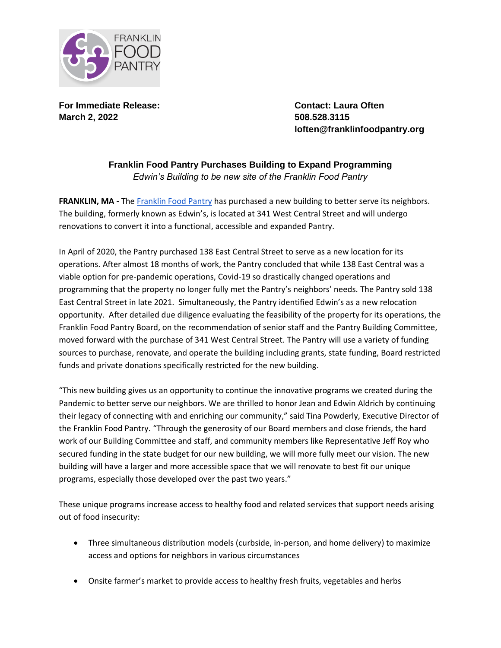

**For Immediate Release: Contact: Laura Often March 2, 2022 508.528.3115**

**loften@franklinfoodpantry.org**

## **Franklin Food Pantry Purchases Building to Expand Programming** *Edwin's Building to be new site of the Franklin Food Pantry*

**FRANKLIN, MA -** The [Franklin Food Pantry](https://www.franklinfoodpantry.org/) has purchased a new building to better serve its neighbors. The building, formerly known as Edwin's, is located at 341 West Central Street and will undergo renovations to convert it into a functional, accessible and expanded Pantry.

In April of 2020, the Pantry purchased 138 East Central Street to serve as a new location for its operations. After almost 18 months of work, the Pantry concluded that while 138 East Central was a viable option for pre-pandemic operations, Covid-19 so drastically changed operations and programming that the property no longer fully met the Pantry's neighbors' needs. The Pantry sold 138 East Central Street in late 2021. Simultaneously, the Pantry identified Edwin's as a new relocation opportunity. After detailed due diligence evaluating the feasibility of the property for its operations, the Franklin Food Pantry Board, on the recommendation of senior staff and the Pantry Building Committee, moved forward with the purchase of 341 West Central Street. The Pantry will use a variety of funding sources to purchase, renovate, and operate the building including grants, state funding, Board restricted funds and private donations specifically restricted for the new building.

"This new building gives us an opportunity to continue the innovative programs we created during the Pandemic to better serve our neighbors. We are thrilled to honor Jean and Edwin Aldrich by continuing their legacy of connecting with and enriching our community," said Tina Powderly, Executive Director of the Franklin Food Pantry. "Through the generosity of our Board members and close friends, the hard work of our Building Committee and staff, and community members like Representative Jeff Roy who secured funding in the state budget for our new building, we will more fully meet our vision. The new building will have a larger and more accessible space that we will renovate to best fit our unique programs, especially those developed over the past two years."

These unique programs increase access to healthy food and related services that support needs arising out of food insecurity:

- Three simultaneous distribution models (curbside, in-person, and home delivery) to maximize access and options for neighbors in various circumstances
- Onsite farmer's market to provide access to healthy fresh fruits, vegetables and herbs